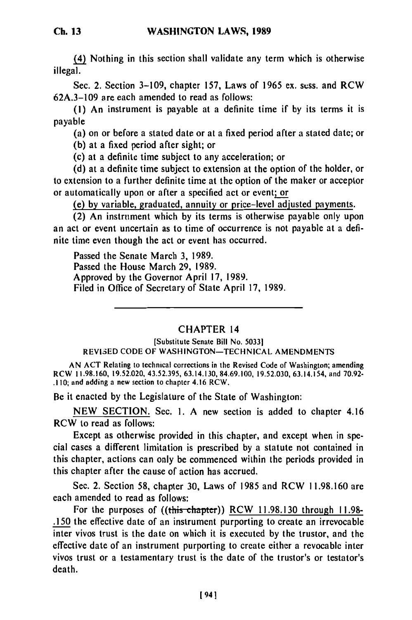(4) Nothing in this section shall validate any term which is otherwise illegal.

Sec. 2. Section 3–109, chapter 157, Laws of 1965 ex. sess. and RCW 62A.3-109 are each amended to read as follows:

**(1)** An instrument is payable at a definite time if by its terms it is payable

(a) on or before a stated date or at a fixed period after a stated date; or

(b) at a fixed period after sight; or

(c) at a definite time subject to any acceleration; or

(d) at a definite time subject to extension at the option of the holder, or to extension to a further definite time at the option of the maker or acceptor or automatically upon or after a specified act or event; or

(e) by variable, graduated, annuity or price-level adjusted payments.

(2) An instrument which by its terms is otherwise payable only upon an act or event uncertain as to time of occurrence is not payable at a definite time even though the act or event has occurred.

Passed the Senate March 3, 1989. Passed the House March 29, 1989. Approved by the Governor April 17, 1989. Filed in Office of Secretary of State April 17, 1989.

## CHAPTER 14

[Substitute Senate Bill No. 50331 REVISED CODE OF WASHINGTON-TECHNICAL AMENDMENTS

AN ACT Relating to technical corrections in the Revised Code of Washington; amending RCW 11.98.160, 19.52.020, 43.52.395, 63.14.130, 84.69.100, 19.52.030, 63.14.154, and 70.92-<br>RCW 11.98.160, 19.52.020, 43.52.395, 63.14.130, 84.69.100, 19.52.030, 63.14.154, and 70.92

Be it enacted by the Legislature of the State of Washington:

NEW SECTION. Sec. 1. A new section is added to chapter 4.16 RCW to read as follows:

Except as otherwise provided in this chapter, and except when in special cases a different limitation is prescribed by a statute not contained in this chapter, actions can only be commenced within the periods provided in this chapter after the cause of action has accrued.

Sec. 2. Section 58, chapter 30, Laws of 1985 and RCW 11.98.160 are each amended to read as follows:

For the purposes of ((this chapter)) RCW 11.98.130 through 11.98-.150 the effective date of an instrument purporting to create an irrevocable inter vivos trust is the date on which it is executed by the trustor, and the effective date of an instrument purporting to create either a revocable inter vivos trust or a testamentary trust is the date of the trustor's or testator's death.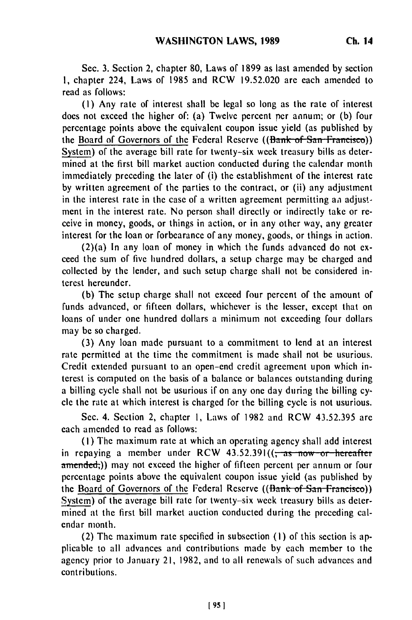Sec. **3.** Section 2, chapter **80,** Laws of **1899** as last amended by section **1,** chapter 224, Laws of 1985 and RCW 19.52.020 are each amended to read as follows:

**(1)** Any rate of interest shall be legal so long as the rate of interest does not exceed the higher of: (a) Twelve percent per annum; or (b) four percentage points above the equivalent coupon issue yield (as published by the Board of Governors of the Federal Reserve ((Bank of San Francisco)) System) of the average bill rate for twenty-six week treasury bills as determined at the first bill market auction conducted during the calendar month immediately preceding the later of (i) the establishment of the interest rate by written agreement of the parties to the contract, or (ii) any adjustment in the interest rate in the case of a written agreement permitting *aa* adjustment in the interest rate. No person shall directly or indirectly take or receive in money, goods, or things in action, or in any other way, any greater interest for the loan or forbearance of any money, goods, or things in action.

(2)(a) In any loan of money in which the funds advanced do not exceed the sum of five hundred dollars, a setup charge may be charged and collected by the lender, and such setup charge shall not be considered interest hereunder.

(b) The setup charge shall not exceed four percent of the amount of funds advanced, or fifteen dollars, whichever is the lesser, except that on loans of under one hundred dollars a minimum not exceeding four dollars may be so charged.

(3) Any loan made pursuant to a commitment to lend at an interest rate permitted at the time the commitment is made shall not be usurious. Credit extended pursuant to an open-end credit agreement upon which interest is computed on the basis of a balance or balances outstanding during a billing cycle shall not be usurious if on any one day during the billing cycle the rate at which interest is charged for the billing cycle is not usurious.

Sec. 4. Section 2, chapter 1, Laws of 1982 and RCW 43.52.395 are each amended to read as follows:

(I) The maximum rate at which an operating agency shall add interest in repaying a member under RCW  $43.52.391$ ( $\frac{25}{100}$  as now or hereafter amended;)) may not exceed the higher of fifteen percent per annum or four percentage points above the equivalent coupon issue yield (as published by the Board of Governors of the Federal Reserve  $((\theta_{\text{rank}} \ \text{of} \ \text{San} \ \text{Francisco}))$ System) of the average bill rate for twenty-six week treasury bills as determined at the first bill market auction conducted during the preceding calendar month.

(2) The maximum rate specified in subsection (I) of this section is applicable to all advances and contributions made by each member to the agency prior to January 21, 1982, and to all renewals of such advances and contributions.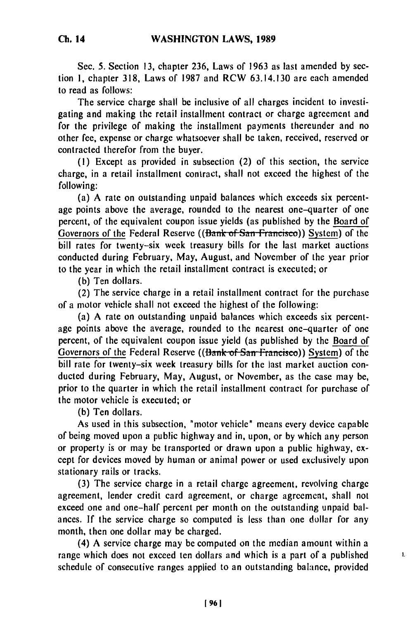Sec. 5. Section 13, chapter 236, Laws of 1963 as last amended by section **1,** chapter 318, Laws of 1987 and RCW 63.14.130 are each amended to read as follows:

The service charge shall be inclusive of all charges incident to investigating and making the retail installment contract or charge agreement and for the privilege of making the installment payments thereunder and no other fee, expense or charge whatsoever shall be taken, received, reserved or contracted therefor from the buyer.

(I) Except as provided in subsection (2) of this section, the service charge, in a retail installment contract, shall not exceed the highest of the following:

(a) A rate on outstanding unpaid balances which exceeds six percentage points above the average, rounded to the nearest one-quarter of one percent, of the equivalent coupon issue yields (as published by the Board of Governors of the Federal Reserve ((Bank of San Francisco)) System) of the bill rates for twenty-six week treasury bills for the last market auctions conducted during February, May, August, and November of the year prior to the year in which the retail installment contract is executed; or

(b) Ten dollars.

(2) The service charge in a retail installment contract for the purchase of a motor vehicle shall not exceed the highest of the following:

(a) A rate on outstanding unpaid balances which exceeds six percentage points above the average, rounded to the nearest one-quarter of one percent, of the equivalent coupon issue yield (as published by the Board of Governors of the Federal Reserve ((Bank of San Francisco)) System) of the bill rate for twenty-six week treasury bills for the last market auction conducted during February, May, August, or November, as the case may be, prior to the quarter in which the retail installment contract for purchase of the motor vehicle is executed; or

**(b)** Ten dollars.

As used in this subsection, "motor vehicle" means every device capable of being moved upon a public highway and in, upon, or by which any person or property is or may be transported or drawn upon a public highway, except for devices moved by human or animal power or used exclusively upon stationary rails or tracks.

**(3)** The service charge in a retail charge agreement, revolving charge agreement, lender credit card agreement, or charge agreement, shall not exceed one and one-half percent per month on the outstanding unpaid balances. If the service charge so computed is less than one dollar for any month, then one dollar may be charged.

(4) A service charge may be compated on the median amount within a range which does not exceed ten dollars and which is a part of a published schedule of consecutive ranges applied to an outstanding balance, provided

Ł.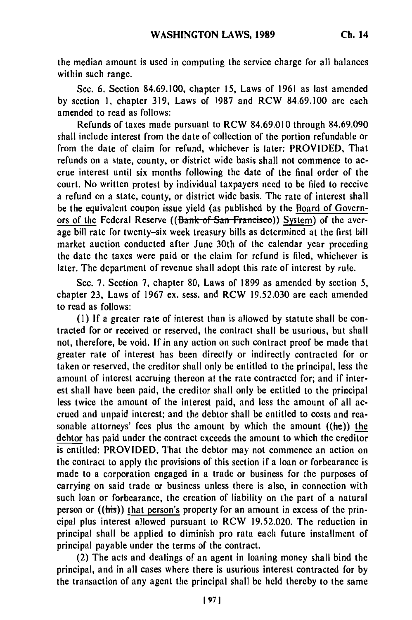the median amount is used in computing the service charge for all balances within such range.

Sec. 6. Section 84.69.100, chapter 15, Laws of 1961 as last amended by section 1, chapter 319, Laws of 1987 and RCW 84.69.100 are each amended to read as follows:

Refunds of taxes made pursuant to RCW 84.69.010 through 84.69.090 shall include interest from the date of collection of the portion refundable or from the date of claim for refund, whichever is later: PROVIDED, That refunds on a state, county, or district wide basis shall not commence to accrue interest until six months following the date of the final order of the court. No written protest by individual taxpayers need to be filed to receive a refund on a state, county, or district wide basis. The rate of interest shall be the equivalent coupon issue yield (as published by the Board of Governors of the Federal Reserve ((Bank of San Francisco)) System) of the average bill rate for twenty-six week treasury bills as determined at the first bill market auction conducted after June 30th of the calendar year preceding the date the taxes were paid or the claim for refund is filed, whichever is later. The department of revenue shall adopt this rate of interest **by** rule.

Sec. **7.** Section **7,** chapter 80, Laws of 1899 as amended by section 5, chapter **23,** Laws of 1967 ex. sess. and RCW 19.52.030 are each amended to read as follows:

**(I) If** a greater rate of interest than is allowed by statute shall be contracted for or received or reserved, the contract shall be usurious, but shall not, therefore, be void. **If** in any action on such contract proof be made that greater rate of interest has been directly or indirectly contracted for or taken or reserved, the creditor shall only be entitled to the principal, less the amount of interest accruing thereon at the rate contracted for; and if interest shall have been paid, the creditor shall only be entitled to the principal less twice the amount of the interest paid, and less the amount of all accrued and unpaid interest; and the debtor shall be entitled to costs and reasonable attorneys' fees plus the amount **by** which the amount ((he)) the **debtor** has paid under the contract exceeds the amount to which the creditor is entitled: PROVIDED, That the debtor may not commence an action on the contract to apply the provisions of this section if a loan or forbearance is made to a corporation engaged in a trade or business for the purposes of carrying on said trade or business unless there is also, in connection with such loan or forbearance, the creation of liability on the part of a natural person or ((his)) that person's property for an amount in excess of the principal plus interest allowed pursuant to RCW 19.52.020. The reduction in principal shall be applied to diminish pro rata each future installment of principal payable under the terms of the contract.

(2) The acts and dealings of an agent in loaning money shall bind the principal, and in all cases where there is usurious interest contracted for **by** the transaction of any agent the principal shall be held thereby to the same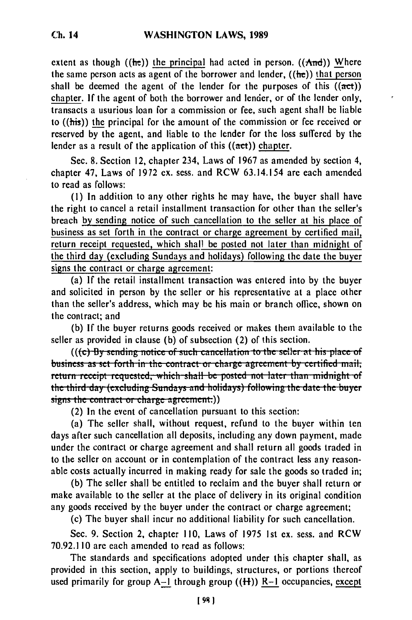extent as though ((he)) the principal had acted in person. ( $(And)$ ) Where the same person acts as agent of the borrower and lender,  $((he))$  that person shall be deemed the agent of the lender for the purposes of this  $((act))$ chapter. **If** the agent of both the borrower and lender, or of the lender only, transacts a usurious loan for a commission or fee, such agent shall be liable to  $((his))$  the principal for the amount of the commission or fee received or reserved by the agent, and liable to the lender for the loss suffered by the lender as a result of the application of this  $((act))$  chapter.

Sec. 8. Section 12, chapter 234, Laws of 1967 as amended by section 4, chapter 47, Laws of 1972 ex. sess. and RCW 63.14.154 are each amended to read as follows:

**(1)** In addition to any other rights he may have, the buyer shall have the right to cancel a retail installment transaction for other than the seller's breach by sending notice of such cancellation to the seller at his place of business as set forth in the contract or charge agreement by certified mail, return receipt requested, which shall be posted not later than midnight of the third day (excluding Sundays and holidays) following the date the buyer signs the contract or charge agreement:

(a) If the retail installment transaction was entered into by the buyer and solicited in person by the seller or his representative at a place other than the seller's address, which may be his main or branch office, shown on the contract; and

**(b)** If the buyer returns goods received or makes them available to the seller as provided in clause (b) of subsection (2) of this section.

**(((c) By sending notice of such cancellation to the seller at his place of** business as set forth in the contract or charge agreement by certified mail; return receipt requested, which shall be posted not later than midnight of the third day (excluding Sundays and holidays) following the date the buyer signs the contract or charge agreement:))<br>(2) In the event of cancellation pursuant to this section:

(a) The seller shall, without request, refund to the buyer within ten days after such cancellation all deposits, including any down payment, made under the contract or charge agreement and shall return all goods traded in to the seller on account or in contemplation of the contract less any reasonable costs actually incurred in making ready for sale the goods so traded in;

(b) The seller shall be entitled to reclaim and the buyer shall return or make available to the seller at the place of delivery in its original condition any goods received by the buyer under the contract or charge agreement;

(c) The buyer shall incur no additional liability for such cancellation.

Sec. 9. Section 2, chapter **I10,** Laws of 1975 1st ex. sess. and RCW 70.92.110 are each amended to read as follows:

The standards and specifications adopted under this chapter shall, as provided in this section, apply to buildings, structures, or portions thereof used primarily for group  $A-1$  through group  $((H))$  R-1 occupancies, except